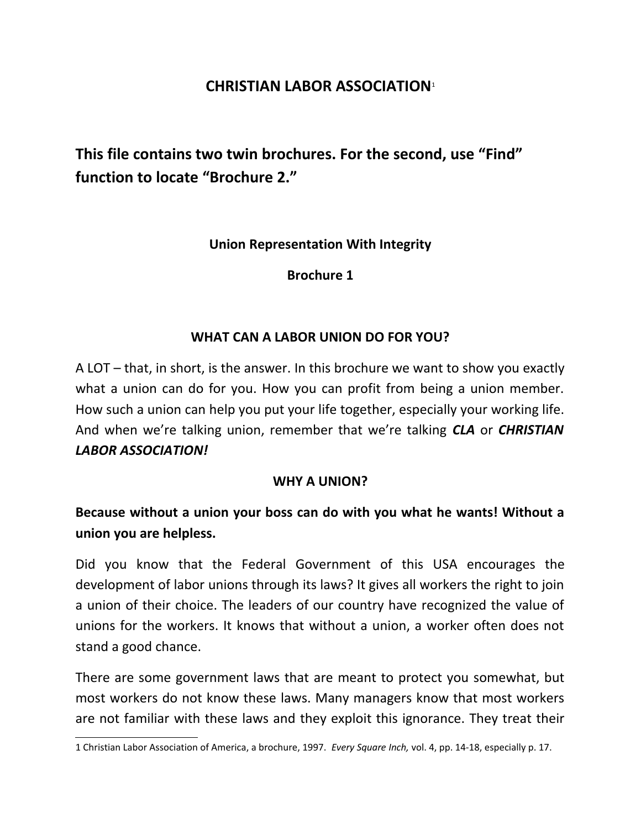## **CHRISTIAN LABOR ASSOCIATION**[1](#page-0-0)

**This file contains two twin brochures. For the second, use "Find" function to locate "Brochure 2."**

**Union Representation With Integrity**

**Brochure 1**

### **WHAT CAN A LABOR UNION DO FOR YOU?**

A LOT – that, in short, is the answer. In this brochure we want to show you exactly what a union can do for you. How you can profit from being a union member. How such a union can help you put your life together, especially your working life. And when we're talking union, remember that we're talking *CLA* or *CHRISTIAN LABOR ASSOCIATION!*

#### **WHY A UNION?**

# **Because without a union your boss can do with you what he wants! Without a union you are helpless.**

Did you know that the Federal Government of this USA encourages the development of labor unions through its laws? It gives all workers the right to join a union of their choice. The leaders of our country have recognized the value of unions for the workers. It knows that without a union, a worker often does not stand a good chance.

There are some government laws that are meant to protect you somewhat, but most workers do not know these laws. Many managers know that most workers are not familiar with these laws and they exploit this ignorance. They treat their

<span id="page-0-0"></span><sup>1</sup> Christian Labor Association of America, a brochure, 1997. *Every Square Inch,* vol. 4, pp. 14-18, especially p. 17.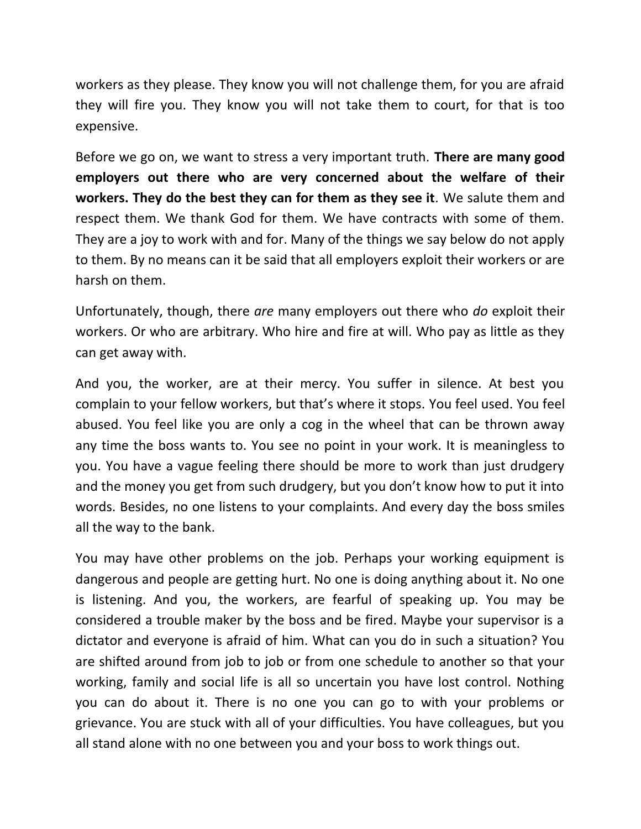workers as they please. They know you will not challenge them, for you are afraid they will fire you. They know you will not take them to court, for that is too expensive.

Before we go on, we want to stress a very important truth. **There are many good employers out there who are very concerned about the welfare of their workers. They do the best they can for them as they see it***.* We salute them and respect them. We thank God for them. We have contracts with some of them. They are a joy to work with and for. Many of the things we say below do not apply to them. By no means can it be said that all employers exploit their workers or are harsh on them.

Unfortunately, though, there *are* many employers out there who *do* exploit their workers. Or who are arbitrary. Who hire and fire at will. Who pay as little as they can get away with.

And you, the worker, are at their mercy. You suffer in silence. At best you complain to your fellow workers, but that's where it stops. You feel used. You feel abused. You feel like you are only a cog in the wheel that can be thrown away any time the boss wants to. You see no point in your work. It is meaningless to you. You have a vague feeling there should be more to work than just drudgery and the money you get from such drudgery, but you don't know how to put it into words. Besides, no one listens to your complaints. And every day the boss smiles all the way to the bank.

You may have other problems on the job. Perhaps your working equipment is dangerous and people are getting hurt. No one is doing anything about it. No one is listening. And you, the workers, are fearful of speaking up. You may be considered a trouble maker by the boss and be fired. Maybe your supervisor is a dictator and everyone is afraid of him. What can you do in such a situation? You are shifted around from job to job or from one schedule to another so that your working, family and social life is all so uncertain you have lost control. Nothing you can do about it. There is no one you can go to with your problems or grievance. You are stuck with all of your difficulties. You have colleagues, but you all stand alone with no one between you and your boss to work things out.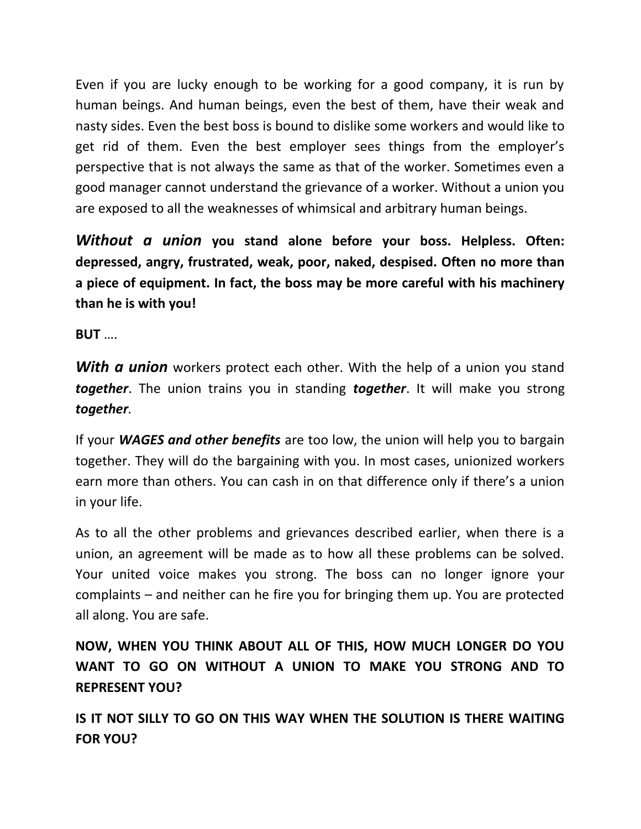Even if you are lucky enough to be working for a good company, it is run by human beings. And human beings, even the best of them, have their weak and nasty sides. Even the best boss is bound to dislike some workers and would like to get rid of them. Even the best employer sees things from the employer's perspective that is not always the same as that of the worker. Sometimes even a good manager cannot understand the grievance of a worker. Without a union you are exposed to all the weaknesses of whimsical and arbitrary human beings.

*Without a union* **you stand alone before your boss. Helpless. Often: depressed, angry, frustrated, weak, poor, naked, despised. Often no more than a piece of equipment. In fact, the boss may be more careful with his machinery than he is with you!**

**BUT** ….

*With a union* workers protect each other. With the help of a union you stand *together*. The union trains you in standing *together*. It will make you strong *together.*

If your *WAGES and other benefits* are too low, the union will help you to bargain together. They will do the bargaining with you. In most cases, unionized workers earn more than others. You can cash in on that difference only if there's a union in your life.

As to all the other problems and grievances described earlier, when there is a union, an agreement will be made as to how all these problems can be solved. Your united voice makes you strong. The boss can no longer ignore your complaints – and neither can he fire you for bringing them up. You are protected all along. You are safe.

**NOW, WHEN YOU THINK ABOUT ALL OF THIS, HOW MUCH LONGER DO YOU WANT TO GO ON WITHOUT A UNION TO MAKE YOU STRONG AND TO REPRESENT YOU?**

**IS IT NOT SILLY TO GO ON THIS WAY WHEN THE SOLUTION IS THERE WAITING FOR YOU?**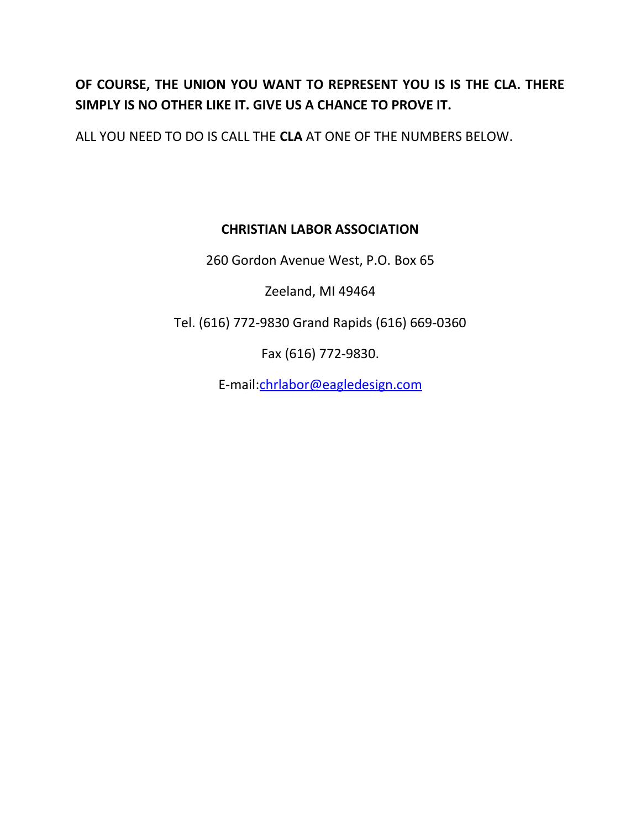# **OF COURSE, THE UNION YOU WANT TO REPRESENT YOU IS IS THE CLA. THERE SIMPLY IS NO OTHER LIKE IT. GIVE US A CHANCE TO PROVE IT.**

ALL YOU NEED TO DO IS CALL THE **CLA** AT ONE OF THE NUMBERS BELOW.

## **CHRISTIAN LABOR ASSOCIATION**

260 Gordon Avenue West, P.O. Box 65

Zeeland, MI 49464

Tel. (616) 772-9830 Grand Rapids (616) 669-0360

Fax (616) 772-9830.

E-mail[:chrlabor@eagledesign.com](mailto:chrlabor@eagledesign.com)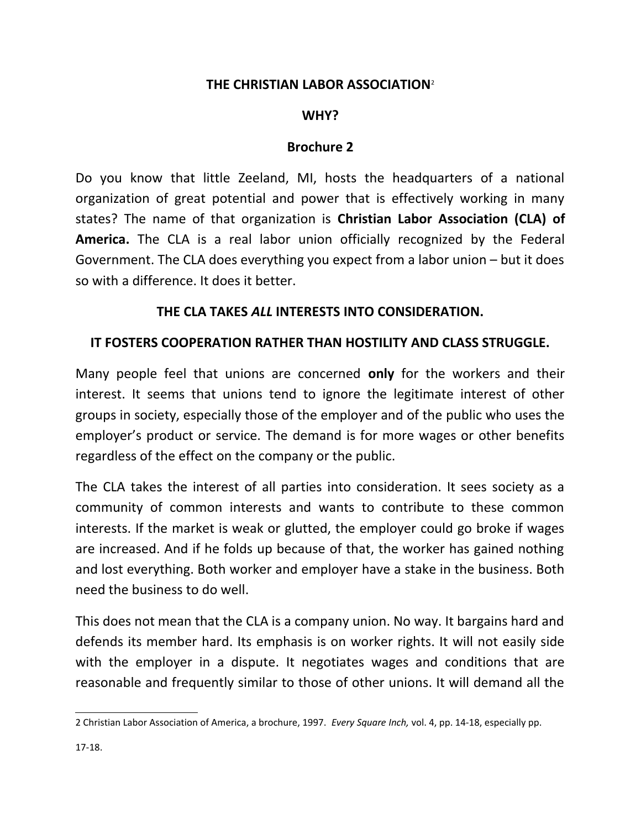### **THE CHRISTIAN LABOR ASSOCIATION**[2](#page-4-0)

### **WHY?**

#### **Brochure 2**

Do you know that little Zeeland, MI, hosts the headquarters of a national organization of great potential and power that is effectively working in many states? The name of that organization is **Christian Labor Association (CLA) of America.** The CLA is a real labor union officially recognized by the Federal Government. The CLA does everything you expect from a labor union – but it does so with a difference. It does it better.

### **THE CLA TAKES** *ALL* **INTERESTS INTO CONSIDERATION.**

### **IT FOSTERS COOPERATION RATHER THAN HOSTILITY AND CLASS STRUGGLE.**

Many people feel that unions are concerned **only** for the workers and their interest. It seems that unions tend to ignore the legitimate interest of other groups in society, especially those of the employer and of the public who uses the employer's product or service. The demand is for more wages or other benefits regardless of the effect on the company or the public.

The CLA takes the interest of all parties into consideration. It sees society as a community of common interests and wants to contribute to these common interests. If the market is weak or glutted, the employer could go broke if wages are increased. And if he folds up because of that, the worker has gained nothing and lost everything. Both worker and employer have a stake in the business. Both need the business to do well.

This does not mean that the CLA is a company union. No way. It bargains hard and defends its member hard. Its emphasis is on worker rights. It will not easily side with the employer in a dispute. It negotiates wages and conditions that are reasonable and frequently similar to those of other unions. It will demand all the

<span id="page-4-0"></span><sup>2</sup> Christian Labor Association of America, a brochure, 1997. *Every Square Inch,* vol. 4, pp. 14-18, especially pp.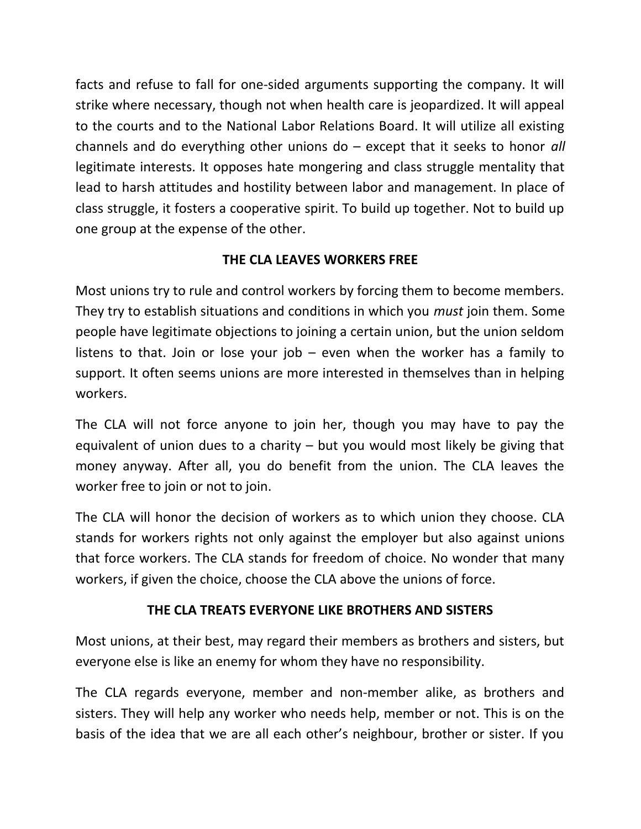facts and refuse to fall for one-sided arguments supporting the company. It will strike where necessary, though not when health care is jeopardized. It will appeal to the courts and to the National Labor Relations Board. It will utilize all existing channels and do everything other unions do – except that it seeks to honor *all* legitimate interests. It opposes hate mongering and class struggle mentality that lead to harsh attitudes and hostility between labor and management. In place of class struggle, it fosters a cooperative spirit. To build up together. Not to build up one group at the expense of the other.

# **THE CLA LEAVES WORKERS FREE**

Most unions try to rule and control workers by forcing them to become members. They try to establish situations and conditions in which you *must* join them. Some people have legitimate objections to joining a certain union, but the union seldom listens to that. Join or lose your job  $-$  even when the worker has a family to support. It often seems unions are more interested in themselves than in helping workers.

The CLA will not force anyone to join her, though you may have to pay the equivalent of union dues to a charity – but you would most likely be giving that money anyway. After all, you do benefit from the union. The CLA leaves the worker free to join or not to join.

The CLA will honor the decision of workers as to which union they choose. CLA stands for workers rights not only against the employer but also against unions that force workers. The CLA stands for freedom of choice. No wonder that many workers, if given the choice, choose the CLA above the unions of force.

# **THE CLA TREATS EVERYONE LIKE BROTHERS AND SISTERS**

Most unions, at their best, may regard their members as brothers and sisters, but everyone else is like an enemy for whom they have no responsibility.

The CLA regards everyone, member and non-member alike, as brothers and sisters. They will help any worker who needs help, member or not. This is on the basis of the idea that we are all each other's neighbour, brother or sister. If you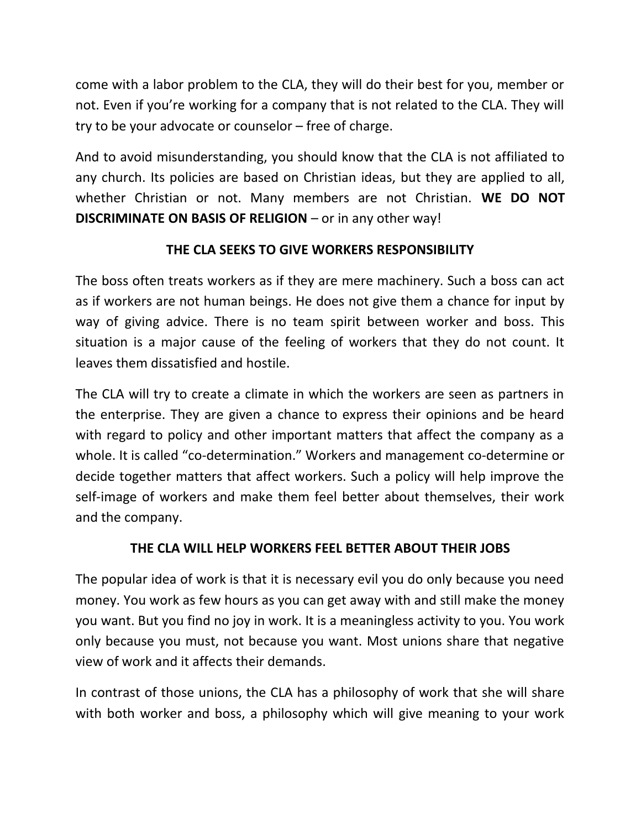come with a labor problem to the CLA, they will do their best for you, member or not. Even if you're working for a company that is not related to the CLA. They will try to be your advocate or counselor – free of charge.

And to avoid misunderstanding, you should know that the CLA is not affiliated to any church. Its policies are based on Christian ideas, but they are applied to all, whether Christian or not. Many members are not Christian. **WE DO NOT DISCRIMINATE ON BASIS OF RELIGION** – or in any other way!

# **THE CLA SEEKS TO GIVE WORKERS RESPONSIBILITY**

The boss often treats workers as if they are mere machinery. Such a boss can act as if workers are not human beings. He does not give them a chance for input by way of giving advice. There is no team spirit between worker and boss. This situation is a major cause of the feeling of workers that they do not count. It leaves them dissatisfied and hostile.

The CLA will try to create a climate in which the workers are seen as partners in the enterprise. They are given a chance to express their opinions and be heard with regard to policy and other important matters that affect the company as a whole. It is called "co-determination." Workers and management co-determine or decide together matters that affect workers. Such a policy will help improve the self-image of workers and make them feel better about themselves, their work and the company.

## **THE CLA WILL HELP WORKERS FEEL BETTER ABOUT THEIR JOBS**

The popular idea of work is that it is necessary evil you do only because you need money. You work as few hours as you can get away with and still make the money you want. But you find no joy in work. It is a meaningless activity to you. You work only because you must, not because you want. Most unions share that negative view of work and it affects their demands.

In contrast of those unions, the CLA has a philosophy of work that she will share with both worker and boss, a philosophy which will give meaning to your work